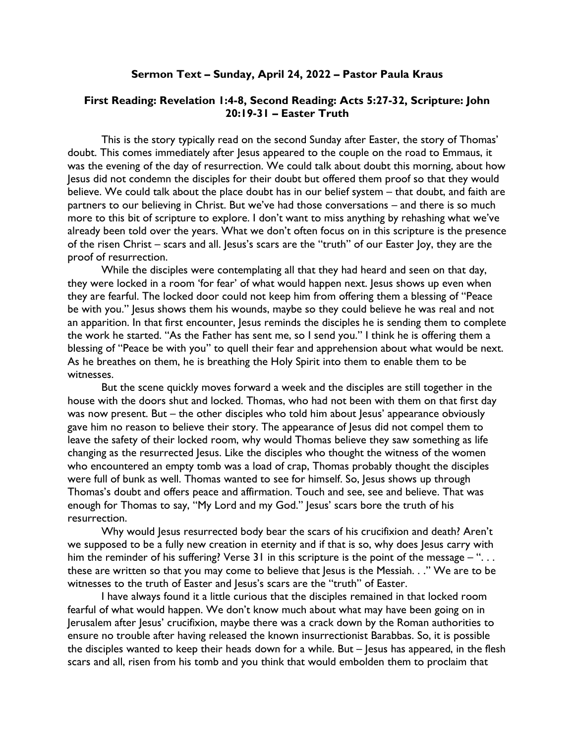## Sermon Text – Sunday, April 24, 2022 – Pastor Paula Kraus

## First Reading: Revelation 1:4-8, Second Reading: Acts 5:27-32, Scripture: John 20:19-31 – Easter Truth

This is the story typically read on the second Sunday after Easter, the story of Thomas' doubt. This comes immediately after Jesus appeared to the couple on the road to Emmaus, it was the evening of the day of resurrection. We could talk about doubt this morning, about how Jesus did not condemn the disciples for their doubt but offered them proof so that they would believe. We could talk about the place doubt has in our belief system – that doubt, and faith are partners to our believing in Christ. But we've had those conversations – and there is so much more to this bit of scripture to explore. I don't want to miss anything by rehashing what we've already been told over the years. What we don't often focus on in this scripture is the presence of the risen Christ – scars and all. Jesus's scars are the "truth" of our Easter Joy, they are the proof of resurrection.

While the disciples were contemplating all that they had heard and seen on that day, they were locked in a room 'for fear' of what would happen next. Jesus shows up even when they are fearful. The locked door could not keep him from offering them a blessing of "Peace be with you." Jesus shows them his wounds, maybe so they could believe he was real and not an apparition. In that first encounter, Jesus reminds the disciples he is sending them to complete the work he started. "As the Father has sent me, so I send you." I think he is offering them a blessing of "Peace be with you" to quell their fear and apprehension about what would be next. As he breathes on them, he is breathing the Holy Spirit into them to enable them to be witnesses.

But the scene quickly moves forward a week and the disciples are still together in the house with the doors shut and locked. Thomas, who had not been with them on that first day was now present. But – the other disciples who told him about Jesus' appearance obviously gave him no reason to believe their story. The appearance of Jesus did not compel them to leave the safety of their locked room, why would Thomas believe they saw something as life changing as the resurrected Jesus. Like the disciples who thought the witness of the women who encountered an empty tomb was a load of crap, Thomas probably thought the disciples were full of bunk as well. Thomas wanted to see for himself. So, Jesus shows up through Thomas's doubt and offers peace and affirmation. Touch and see, see and believe. That was enough for Thomas to say, "My Lord and my God." Jesus' scars bore the truth of his resurrection.

Why would Jesus resurrected body bear the scars of his crucifixion and death? Aren't we supposed to be a fully new creation in eternity and if that is so, why does Jesus carry with him the reminder of his suffering? Verse 31 in this scripture is the point of the message – "... these are written so that you may come to believe that Jesus is the Messiah. . ." We are to be witnesses to the truth of Easter and Jesus's scars are the "truth" of Easter.

I have always found it a little curious that the disciples remained in that locked room fearful of what would happen. We don't know much about what may have been going on in Jerusalem after Jesus' crucifixion, maybe there was a crack down by the Roman authorities to ensure no trouble after having released the known insurrectionist Barabbas. So, it is possible the disciples wanted to keep their heads down for a while. But – Jesus has appeared, in the flesh scars and all, risen from his tomb and you think that would embolden them to proclaim that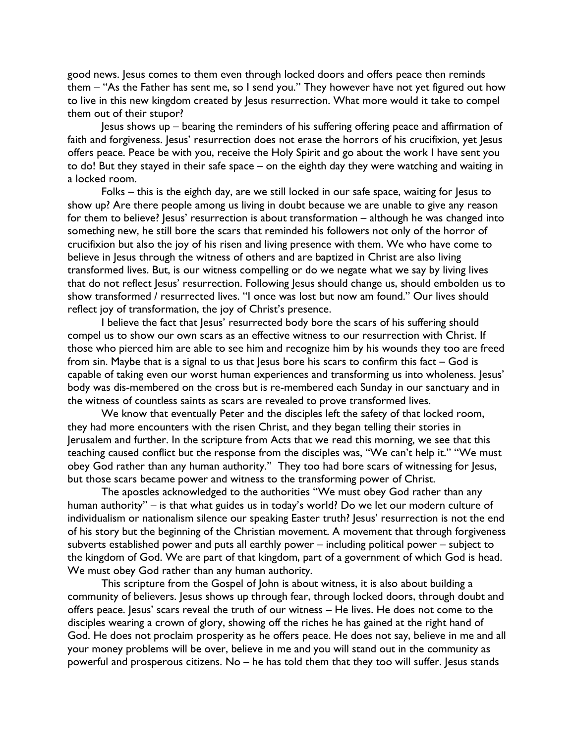good news. Jesus comes to them even through locked doors and offers peace then reminds them – "As the Father has sent me, so I send you." They however have not yet figured out how to live in this new kingdom created by Jesus resurrection. What more would it take to compel them out of their stupor?

Jesus shows up – bearing the reminders of his suffering offering peace and affirmation of faith and forgiveness. Jesus' resurrection does not erase the horrors of his crucifixion, yet Jesus offers peace. Peace be with you, receive the Holy Spirit and go about the work I have sent you to do! But they stayed in their safe space – on the eighth day they were watching and waiting in a locked room.

Folks – this is the eighth day, are we still locked in our safe space, waiting for Jesus to show up? Are there people among us living in doubt because we are unable to give any reason for them to believe? Jesus' resurrection is about transformation – although he was changed into something new, he still bore the scars that reminded his followers not only of the horror of crucifixion but also the joy of his risen and living presence with them. We who have come to believe in Jesus through the witness of others and are baptized in Christ are also living transformed lives. But, is our witness compelling or do we negate what we say by living lives that do not reflect Jesus' resurrection. Following Jesus should change us, should embolden us to show transformed / resurrected lives. "I once was lost but now am found." Our lives should reflect joy of transformation, the joy of Christ's presence.

I believe the fact that Jesus' resurrected body bore the scars of his suffering should compel us to show our own scars as an effective witness to our resurrection with Christ. If those who pierced him are able to see him and recognize him by his wounds they too are freed from sin. Maybe that is a signal to us that Jesus bore his scars to confirm this fact – God is capable of taking even our worst human experiences and transforming us into wholeness. Jesus' body was dis-membered on the cross but is re-membered each Sunday in our sanctuary and in the witness of countless saints as scars are revealed to prove transformed lives.

We know that eventually Peter and the disciples left the safety of that locked room, they had more encounters with the risen Christ, and they began telling their stories in Jerusalem and further. In the scripture from Acts that we read this morning, we see that this teaching caused conflict but the response from the disciples was, "We can't help it." "We must obey God rather than any human authority." They too had bore scars of witnessing for Jesus, but those scars became power and witness to the transforming power of Christ.

The apostles acknowledged to the authorities "We must obey God rather than any human authority" – is that what guides us in today's world? Do we let our modern culture of individualism or nationalism silence our speaking Easter truth? Jesus' resurrection is not the end of his story but the beginning of the Christian movement. A movement that through forgiveness subverts established power and puts all earthly power – including political power – subject to the kingdom of God. We are part of that kingdom, part of a government of which God is head. We must obey God rather than any human authority.

This scripture from the Gospel of John is about witness, it is also about building a community of believers. Jesus shows up through fear, through locked doors, through doubt and offers peace. Jesus' scars reveal the truth of our witness – He lives. He does not come to the disciples wearing a crown of glory, showing off the riches he has gained at the right hand of God. He does not proclaim prosperity as he offers peace. He does not say, believe in me and all your money problems will be over, believe in me and you will stand out in the community as powerful and prosperous citizens. No – he has told them that they too will suffer. Jesus stands